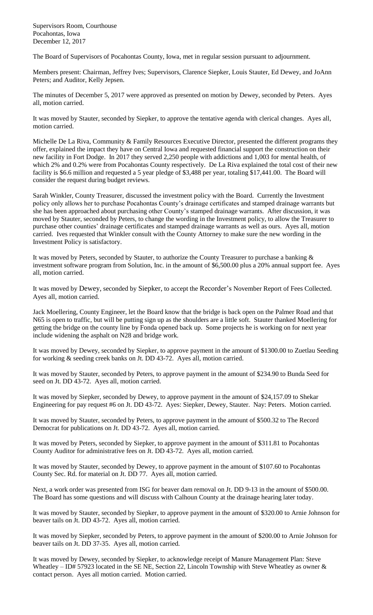Supervisors Room, Courthouse Pocahontas, Iowa December 12, 2017

The Board of Supervisors of Pocahontas County, Iowa, met in regular session pursuant to adjournment.

Members present: Chairman, Jeffrey Ives; Supervisors, Clarence Siepker, Louis Stauter, Ed Dewey, and JoAnn Peters; and Auditor, Kelly Jepsen.

The minutes of December 5, 2017 were approved as presented on motion by Dewey, seconded by Peters. Ayes all, motion carried.

It was moved by Stauter, seconded by Siepker, to approve the tentative agenda with clerical changes. Ayes all, motion carried.

Michelle De La Riva, Community & Family Resources Executive Director, presented the different programs they offer, explained the impact they have on Central Iowa and requested financial support the construction on their new facility in Fort Dodge. In 2017 they served 2,250 people with addictions and 1,003 for mental health, of which 2% and 0.2% were from Pocahontas County respectively. De La Riva explained the total cost of their new facility is \$6.6 million and requested a 5 year pledge of \$3,488 per year, totaling \$17,441.00. The Board will consider the request during budget reviews.

Sarah Winkler, County Treasurer, discussed the investment policy with the Board. Currently the Investment policy only allows her to purchase Pocahontas County's drainage certificates and stamped drainage warrants but she has been approached about purchasing other County's stamped drainage warrants. After discussion, it was moved by Stauter, seconded by Peters, to change the wording in the Investment policy, to allow the Treasurer to purchase other counties' drainage certificates and stamped drainage warrants as well as ours. Ayes all, motion carried. Ives requested that Winkler consult with the County Attorney to make sure the new wording in the Investment Policy is satisfactory.

It was moved by Peters, seconded by Stauter, to authorize the County Treasurer to purchase a banking & investment software program from Solution, Inc. in the amount of \$6,500.00 plus a 20% annual support fee. Ayes all, motion carried.

It was moved by Dewey, seconded by Siepker, to accept the Recorder's November Report of Fees Collected. Ayes all, motion carried.

Jack Moellering, County Engineer, let the Board know that the bridge is back open on the Palmer Road and that N65 is open to traffic, but will be putting sign up as the shoulders are a little soft. Stauter thanked Moellering for getting the bridge on the county line by Fonda opened back up. Some projects he is working on for next year include widening the asphalt on N28 and bridge work.

It was moved by Dewey, seconded by Siepker, to approve payment in the amount of \$1300.00 to Zuetlau Seeding for working & seeding creek banks on Jt. DD 43-72. Ayes all, motion carried.

It was moved by Stauter, seconded by Peters, to approve payment in the amount of \$234.90 to Bunda Seed for seed on Jt. DD 43-72. Ayes all, motion carried.

It was moved by Siepker, seconded by Dewey, to approve payment in the amount of \$24,157.09 to Shekar Engineering for pay request #6 on Jt. DD 43-72. Ayes: Siepker, Dewey, Stauter. Nay: Peters. Motion carried.

It was moved by Stauter, seconded by Peters, to approve payment in the amount of \$500.32 to The Record Democrat for publications on Jt. DD 43-72. Ayes all, motion carried.

It was moved by Peters, seconded by Siepker, to approve payment in the amount of \$311.81 to Pocahontas County Auditor for administrative fees on Jt. DD 43-72. Ayes all, motion carried.

It was moved by Stauter, seconded by Dewey, to approve payment in the amount of \$107.60 to Pocahontas County Sec. Rd. for material on Jt. DD 77. Ayes all, motion carried.

Next, a work order was presented from ISG for beaver dam removal on Jt. DD 9-13 in the amount of \$500.00. The Board has some questions and will discuss with Calhoun County at the drainage hearing later today.

It was moved by Stauter, seconded by Siepker, to approve payment in the amount of \$320.00 to Arnie Johnson for beaver tails on Jt. DD 43-72. Ayes all, motion carried.

It was moved by Siepker, seconded by Peters, to approve payment in the amount of \$200.00 to Arnie Johnson for beaver tails on Jt. DD 37-35. Ayes all, motion carried.

It was moved by Dewey, seconded by Siepker, to acknowledge receipt of Manure Management Plan: Steve Wheatley – ID# 57923 located in the SE NE, Section 22, Lincoln Township with Steve Wheatley as owner & contact person. Ayes all motion carried. Motion carried.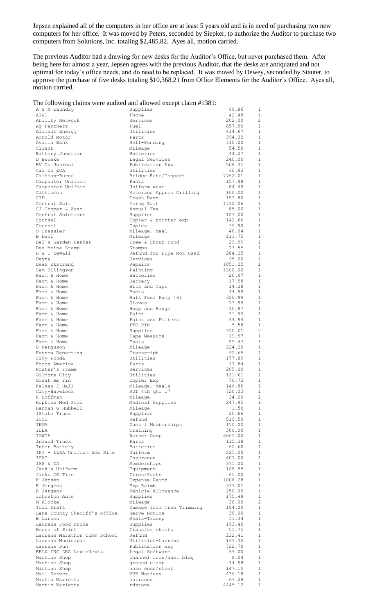Jepsen explained all of the computers in her office are at least 5 years old and is in need of purchasing two new computers for her office. It was moved by Peters, seconded by Siepker, to authorize the Auditor to purchase two computers from Solutions, Inc. totaling \$2,485.82. Ayes all, motion carried.

The previous Auditor had a drawing for new desks for the Auditor's Office, but never purchased them. After being here for almost a year, Jepsen agrees with the previous Auditor, that the desks are antiquated and not optimal for today's office needs, and do need to be replaced. It was moved by Dewey, seconded by Stauter, to approve the purchase of five desks totaling \$10,368.21 from Office Elements for the Auditor's Office. Ayes all, motion carried.

|  | The following claims were audited and allowed except claim #1381: |  |  |  |
|--|-------------------------------------------------------------------|--|--|--|
|  |                                                                   |  |  |  |

|                              | The following claims were addited and anowed except claim $\pi$ 1561. |         |                |
|------------------------------|-----------------------------------------------------------------------|---------|----------------|
| A & M Laundry                | Supplies                                                              | 66.86   | 1              |
| AT&T                         | Phone                                                                 | 42.48   | 1              |
| Ability Network              | Services                                                              | 202.00  | $\overline{2}$ |
| Ag Partners                  | Fuel                                                                  | 657.90  | 1              |
| Alliant Energy               | Utilities                                                             | 414.67  | 1              |
| Arnold Motor                 | Parts                                                                 | 394.32  | $\mathbf{1}$   |
| Availa Bank                  | Self-Funding                                                          | 310.00  | $\mathbf{1}$   |
| Client                       | Mileage                                                               | 54.50   | 1              |
| Battery Junction             | Batteries                                                             | 44.27   | $\mathbf{1}$   |
| D Beneke                     | Legal Services                                                        | 240.00  | 1              |
| BV Co Journal                | Publication Exp                                                       | 508.31  | $\mathbf{1}$   |
| Cal Co ECA                   |                                                                       |         | $\mathbf{1}$   |
|                              | Utilities                                                             | 60.93   |                |
| Calhoun-Burns                | Bridge Rate/Inspect                                                   | 7762.01 | $\mathbf{1}$   |
| Carpenter Uniform            | Pants                                                                 | 157.98  | 1              |
| Carpenter Uniform            | Uniform wear                                                          | 84.49   | $\mathbf{1}$   |
| Cattlemen                    | Veterans Apprec Grilling                                              | 100.00  | $\mathbf{1}$   |
| CID.                         | Trash Bags                                                            | 153.80  | $\mathbf{1}$   |
| Central Salt                 | Icing Salt                                                            | 1732.06 | $\mathbf{1}$   |
| CJ Cooper & Asso             | Annual Fee                                                            | 85.00   | $\mathbf{1}$   |
| Control Solutions            | Supplies                                                              | 127.00  | $\mathbf{1}$   |
| Counsel                      | Copier & printer exp                                                  | 142.66  | 1              |
| Counsel                      | Copies                                                                | 35.90   | 1              |
| 0 Cressler                   | Mileage, meal                                                         | 48.04   | 1              |
| B Dahl                       | Mileage                                                               |         | 1              |
|                              |                                                                       | 213.75  |                |
| Del's Garden Center          | Tree & Shrub Food                                                     | 29.99   | $\mathbf{1}$   |
| Des Moine Stamp              | Stamps                                                                | 73.55   | $\mathbf{1}$   |
| H & I DeWall                 | Refund for Pipe Not Used                                              | 284.25  | <sup>1</sup>   |
| Deyta                        | Services                                                              | 95.00   | 1              |
| Dean Ekstrand                | Repairs                                                               | 1851.25 | $\overline{c}$ |
| Sam Ellingson                | Painting                                                              | 1200.00 | 1              |
| Farm & Home                  | Batteries                                                             | 20.97   | $\mathbf{1}$   |
| Farm & Home                  | Battery                                                               | 17.98   | $\mathbf{1}$   |
| Farm & Home                  | Bits and Tape                                                         | 14.28   | $\mathbf{1}$   |
| Farm & Home                  | Boots                                                                 | 44.99   | 1              |
| Farm & Home                  | Bulk Fuel Pump #61                                                    | 320.99  | $\mathbf{1}$   |
| Farm & Home                  | Gloves                                                                | 13.99   | $\mathbf{1}$   |
|                              |                                                                       |         | $\mathbf{1}$   |
| Farm & Home                  | Hasp and Hinge                                                        | 10.97   |                |
| Farm & Home                  | Paint                                                                 | 31.99   | $\mathbf{1}$   |
| Farm & Home                  | Paint and Filters                                                     | 44.94   | $\mathbf{1}$   |
| Farm & Home                  | PTO Pin                                                               | 5.58    | $\mathbf{1}$   |
| Farm & Home                  | Supplies                                                              | 370.01  | $\overline{2}$ |
| Farm & Home                  | Tape Measure                                                          | 19.97   | 1              |
| Farm & Home                  | Tools                                                                 | 25.47   | $\mathbf{1}$   |
| D Ferquson                   | Mileage                                                               | 224.20  | $\mathbf{1}$   |
| Fetrow Reporting             | Transcript                                                            | 52.65   | $\mathbf{1}$   |
| City-Fonda                   | Utilities                                                             | 177.89  | 1              |
| Force America                | Parts                                                                 | 17.84   | $\mathbf{1}$   |
| Foster's Frame               | Services                                                              | 205.00  | $\mathbf{1}$   |
| Gilmore City                 | Utilities                                                             | 121.61  | $\mathbf{1}$   |
| Great Am Fin                 | Copier Exp                                                            | 70.73   | 1              |
| Kelsey E Hall                | Mileage, meals                                                        | 146.86  | 1              |
| City-Havelock                | RUT 4th qtr 17                                                        | 720.03  | 1              |
| K Hoffman                    |                                                                       |         | $\overline{c}$ |
|                              | Mileage                                                               | 34.00   |                |
| Hopkins Med Prod             | Medical Supplies                                                      | 247.95  | $\mathbf{1}$   |
| Hannah G Hubbell             | Mileage                                                               | 1.50    | $\mathbf{1}$   |
| IState Truck                 | Supplies                                                              | 20.66   | $\mathbf{1}$   |
| ICCC                         | Refund                                                                | 519.50  | 1              |
| IEMA                         | Dues & Memberships                                                    | 150.00  | $\mathbf 1$    |
| ILEA                         | Training                                                              | 300.00  | $\mathbf{1}$   |
| IMWCA                        | Worker Comp                                                           | 6605.00 | $\mathbf{1}$   |
| Inland Truck                 | Parts                                                                 | 115.28  | $\mathbf{1}$   |
| Inter Battery                | Batteries                                                             | 62.60   | $\mathbf{1}$   |
| IPI - ILEA Uniform Web Site  | Uniform                                                               | 225.00  | $\mathbf{1}$   |
| ISAC                         | Insurance                                                             | 607.00  | $\mathbf{1}$   |
| ISS & DA                     | Memberships                                                           | 375.00  | $\mathbf{1}$   |
| Jack's Uniform               | Equipment                                                             | 188.95  | $\mathbf{1}$   |
| Jacks OK Tire                | Tires/Parts                                                           | 65.00   | 1              |
|                              |                                                                       |         | $\mathbf 1$    |
| K Jepsen                     | Expense Reimb                                                         | 1008.28 |                |
| R Jergens                    | Exp Reimb                                                             | 337.01  | 1              |
| R Jergens                    | Vehicle Allowance                                                     | 250.00  | $\mathbf 1$    |
| Johnston Auto                | Supplies                                                              | 175.48  | 1              |
| M Klocke                     | Mileage                                                               | 38.00   | $\overline{c}$ |
| Todd Kraft                   | Damage from Tree Trimming                                             | 184.00  | $\mathbf{1}$   |
| Lane County Sheriff's office | Serve Notice                                                          | 36.00   | $\mathbf{1}$   |
| <b>B</b> Larsen              | Meals-Transp                                                          | 51.34   | $\mathbf{1}$   |
| Laurens Food Pride           | Supplies                                                              | 193.40  | $\mathbf{1}$   |
| House of Print               | Transfer sheets                                                       | 51.75   | 1              |
| Laurens Marathon Comm School | Refund                                                                | 232.41  | $\mathbf{1}$   |
| Laurens Municipal            | Utilities-Laurens                                                     | 163.30  | $\mathbf{1}$   |
| Laurens Sun                  | Publication exp                                                       | 722.70  | $\mathbf{1}$   |
| RELX INC DBA LexisNexis      | Legal Software                                                        | 99.00   | 1              |
| Machine Shop                 | channel iron/east bldg                                                | 8.04    | $\mathbf{1}$   |
| Machine Shop                 | ground clamp                                                          | 14.58   | 1              |
|                              |                                                                       |         | $\mathbf{1}$   |
| Machine Shop                 | hose ends/steel                                                       | 147.15  | $\mathbf{1}$   |
| Mail Servcs                  | MVR Notices                                                           | 436.18  |                |
| Martin Marietta              | entrance                                                              | 67.28   | $\mathbf{1}$   |
| Martin Marietta              | rdstone                                                               | 4445.12 | $1\,$          |